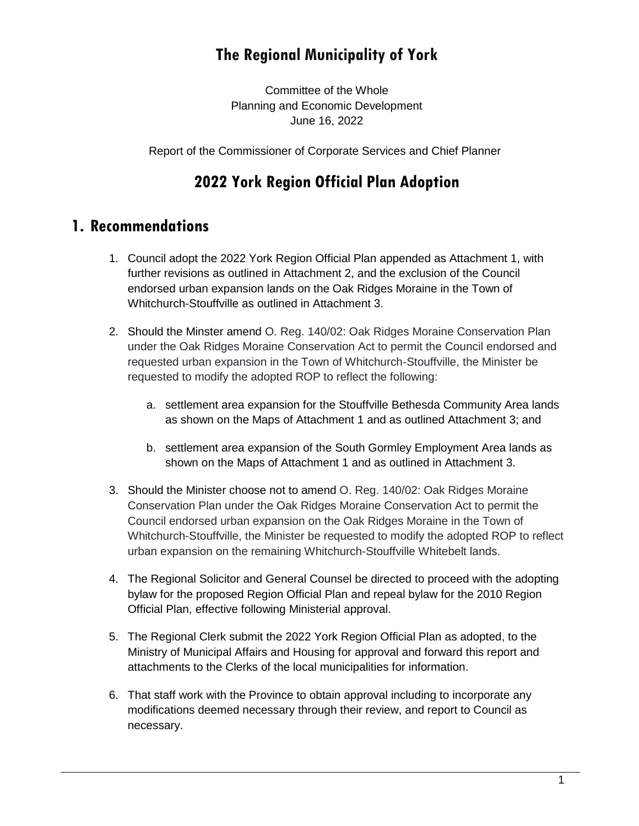## **The Regional Municipality of York**

Committee of the Whole Planning and Economic Development June 16, 2022

Report of the Commissioner of Corporate Services and Chief Planner

## **2022 York Region Official Plan Adoption**

## **1. Recommendations**

- 1. Council adopt the 2022 York Region Official Plan appended as Attachment 1, with further revisions as outlined in Attachment 2, and the exclusion of the Council endorsed urban expansion lands on the Oak Ridges Moraine in the Town of Whitchurch-Stouffville as outlined in Attachment 3.
- 2. Should the Minster amend O. Reg. 140/02: Oak Ridges Moraine Conservation Plan under the Oak Ridges Moraine Conservation Act to permit the Council endorsed and requested urban expansion in the Town of Whitchurch-Stouffville, the Minister be requested to modify the adopted ROP to reflect the following:
	- a. settlement area expansion for the Stouffville Bethesda Community Area lands as shown on the Maps of Attachment 1 and as outlined Attachment 3; and
	- b. settlement area expansion of the South Gormley Employment Area lands as shown on the Maps of Attachment 1 and as outlined in Attachment 3.
- 3. Should the Minister choose not to amend O. Reg. 140/02: Oak Ridges Moraine Conservation Plan under the Oak Ridges Moraine Conservation Act to permit the Council endorsed urban expansion on the Oak Ridges Moraine in the Town of Whitchurch-Stouffville, the Minister be requested to modify the adopted ROP to reflect urban expansion on the remaining Whitchurch-Stouffville Whitebelt lands.
- 4. The Regional Solicitor and General Counsel be directed to proceed with the adopting bylaw for the proposed Region Official Plan and repeal bylaw for the 2010 Region Official Plan, effective following Ministerial approval.
- 5. The Regional Clerk submit the 2022 York Region Official Plan as adopted, to the Ministry of Municipal Affairs and Housing for approval and forward this report and attachments to the Clerks of the local municipalities for information.
- 6. That staff work with the Province to obtain approval including to incorporate any modifications deemed necessary through their review, and report to Council as necessary.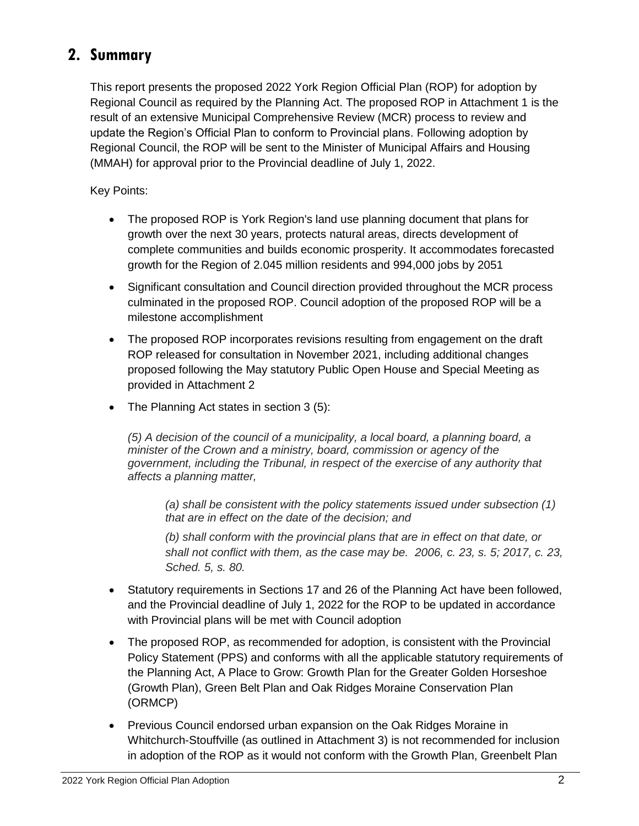## **2. Summary**

This report presents the proposed 2022 York Region Official Plan (ROP) for adoption by Regional Council as required by the Planning Act. The proposed ROP in Attachment 1 is the result of an extensive Municipal Comprehensive Review (MCR) process to review and update the Region's Official Plan to conform to Provincial plans. Following adoption by Regional Council, the ROP will be sent to the Minister of Municipal Affairs and Housing (MMAH) for approval prior to the Provincial deadline of July 1, 2022.

Key Points:

- The proposed ROP is York Region's land use planning document that plans for growth over the next 30 years, protects natural areas, directs development of complete communities and builds economic prosperity. It accommodates forecasted growth for the Region of 2.045 million residents and 994,000 jobs by 2051
- Significant consultation and Council direction provided throughout the MCR process culminated in the proposed ROP. Council adoption of the proposed ROP will be a milestone accomplishment
- The proposed ROP incorporates revisions resulting from engagement on the draft ROP released for consultation in November 2021, including additional changes proposed following the May statutory Public Open House and Special Meeting as provided in Attachment 2
- The Planning Act states in section 3 (5):

*(5) A decision of the council of a municipality, a local board, a planning board, a minister of the Crown and a ministry, board, commission or agency of the government, including the Tribunal, in respect of the exercise of any authority that affects a planning matter,*

*(a) shall be consistent with the policy statements issued under subsection (1) that are in effect on the date of the decision; and*

*(b) shall conform with the provincial plans that are in effect on that date, or shall not conflict with them, as the case may be. 2006, c. 23, s. 5; 2017, c. 23, Sched. 5, s. 80.*

- Statutory requirements in Sections 17 and 26 of the Planning Act have been followed, and the Provincial deadline of July 1, 2022 for the ROP to be updated in accordance with Provincial plans will be met with Council adoption
- The proposed ROP, as recommended for adoption, is consistent with the Provincial Policy Statement (PPS) and conforms with all the applicable statutory requirements of the Planning Act, A Place to Grow: Growth Plan for the Greater Golden Horseshoe (Growth Plan), Green Belt Plan and Oak Ridges Moraine Conservation Plan (ORMCP)
- Previous Council endorsed urban expansion on the Oak Ridges Moraine in Whitchurch-Stouffville (as outlined in Attachment 3) is not recommended for inclusion in adoption of the ROP as it would not conform with the Growth Plan, Greenbelt Plan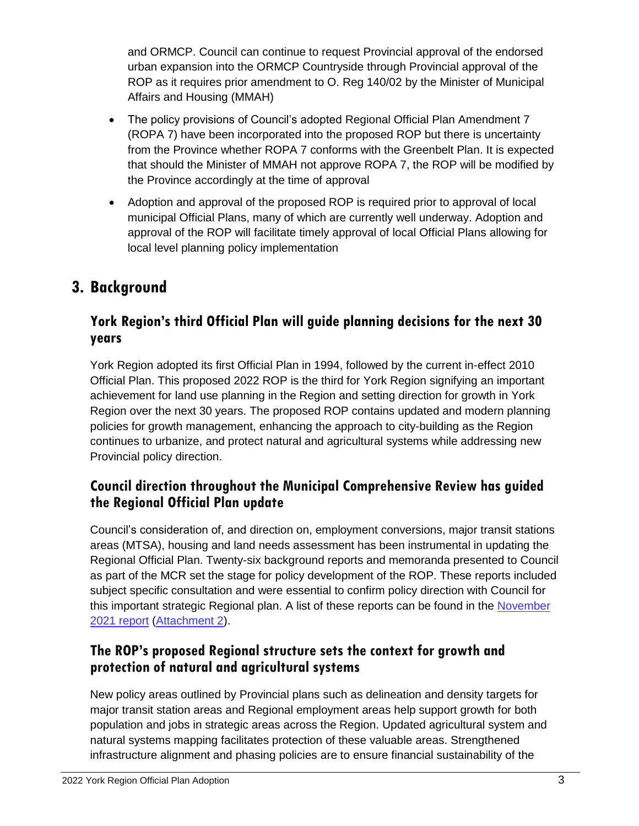and ORMCP. Council can continue to request Provincial approval of the endorsed urban expansion into the ORMCP Countryside through Provincial approval of the ROP as it requires prior amendment to O. Reg 140/02 by the Minister of Municipal Affairs and Housing (MMAH)

- The policy provisions of Council's adopted Regional Official Plan Amendment 7 (ROPA 7) have been incorporated into the proposed ROP but there is uncertainty from the Province whether ROPA 7 conforms with the Greenbelt Plan. It is expected that should the Minister of MMAH not approve ROPA 7, the ROP will be modified by the Province accordingly at the time of approval
- Adoption and approval of the proposed ROP is required prior to approval of local municipal Official Plans, many of which are currently well underway. Adoption and approval of the ROP will facilitate timely approval of local Official Plans allowing for local level planning policy implementation

## **3. Background**

## **York Region's third Official Plan will guide planning decisions for the next 30 years**

York Region adopted its first Official Plan in 1994, followed by the current in-effect 2010 Official Plan. This proposed 2022 ROP is the third for York Region signifying an important achievement for land use planning in the Region and setting direction for growth in York Region over the next 30 years. The proposed ROP contains updated and modern planning policies for growth management, enhancing the approach to city-building as the Region continues to urbanize, and protect natural and agricultural systems while addressing new Provincial policy direction.

## **Council direction throughout the Municipal Comprehensive Review has guided the Regional Official Plan update**

Council's consideration of, and direction on, employment conversions, major transit stations areas (MTSA), housing and land needs assessment has been instrumental in updating the Regional Official Plan. Twenty-six background reports and memoranda presented to Council as part of the MCR set the stage for policy development of the ROP. These reports included subject specific consultation and were essential to confirm policy direction with Council for this important strategic Regional plan. A list of these reports can be found in the [November](https://yorkpublishing.escribemeetings.com/Meeting.aspx?Id=228608f4-d57d-485a-a462-b12bec2e4b08&Agenda=PostMinutes&lang=English&Item=29&Tab=attachments)  2021 [report](https://yorkpublishing.escribemeetings.com/Meeting.aspx?Id=228608f4-d57d-485a-a462-b12bec2e4b08&Agenda=PostMinutes&lang=English&Item=29&Tab=attachments) [\(Attachment 2\)](https://yorkpublishing.escribemeetings.com/filestream.ashx?DocumentId=28319).

## **The ROP's proposed Regional structure sets the context for growth and protection of natural and agricultural systems**

New policy areas outlined by Provincial plans such as delineation and density targets for major transit station areas and Regional employment areas help support growth for both population and jobs in strategic areas across the Region. Updated agricultural system and natural systems mapping facilitates protection of these valuable areas. Strengthened infrastructure alignment and phasing policies are to ensure financial sustainability of the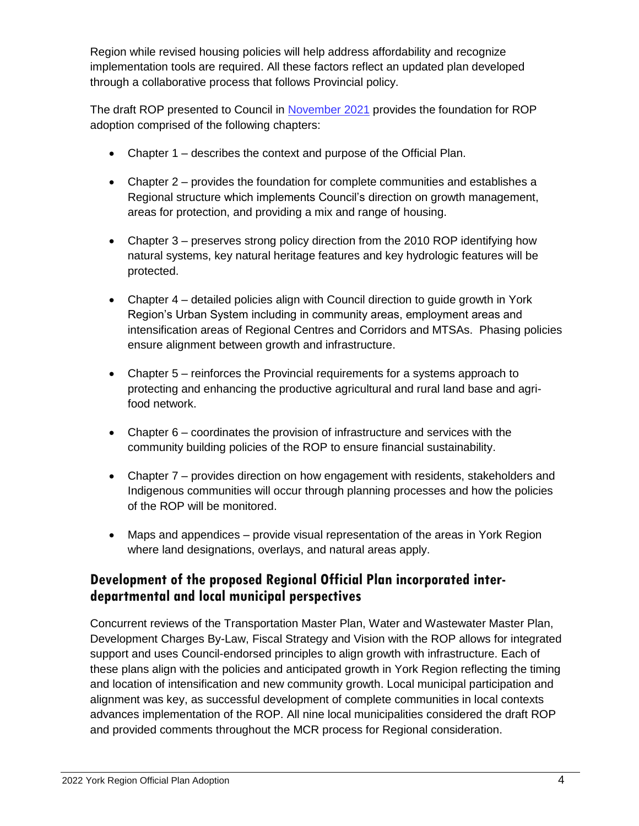Region while revised housing policies will help address affordability and recognize implementation tools are required. All these factors reflect an updated plan developed through a collaborative process that follows Provincial policy.

The draft ROP presented to Council in [November 2021](https://yorkpublishing.escribemeetings.com/Meeting.aspx?Id=228608f4-d57d-485a-a462-b12bec2e4b08&Agenda=Merged&lang=English&Item=29&Tab=attachments) provides the foundation for ROP adoption comprised of the following chapters:

- Chapter 1 describes the context and purpose of the Official Plan.
- Chapter 2 provides the foundation for complete communities and establishes a Regional structure which implements Council's direction on growth management, areas for protection, and providing a mix and range of housing.
- Chapter 3 preserves strong policy direction from the 2010 ROP identifying how natural systems, key natural heritage features and key hydrologic features will be protected.
- Chapter 4 detailed policies align with Council direction to guide growth in York Region's Urban System including in community areas, employment areas and intensification areas of Regional Centres and Corridors and MTSAs. Phasing policies ensure alignment between growth and infrastructure.
- Chapter 5 reinforces the Provincial requirements for a systems approach to protecting and enhancing the productive agricultural and rural land base and agrifood network.
- Chapter 6 coordinates the provision of infrastructure and services with the community building policies of the ROP to ensure financial sustainability.
- Chapter 7 provides direction on how engagement with residents, stakeholders and Indigenous communities will occur through planning processes and how the policies of the ROP will be monitored.
- Maps and appendices provide visual representation of the areas in York Region where land designations, overlays, and natural areas apply.

## **Development of the proposed Regional Official Plan incorporated interdepartmental and local municipal perspectives**

Concurrent reviews of the Transportation Master Plan, Water and Wastewater Master Plan, Development Charges By-Law, Fiscal Strategy and Vision with the ROP allows for integrated support and uses Council-endorsed principles to align growth with infrastructure. Each of these plans align with the policies and anticipated growth in York Region reflecting the timing and location of intensification and new community growth. Local municipal participation and alignment was key, as successful development of complete communities in local contexts advances implementation of the ROP. All nine local municipalities considered the draft ROP and provided comments throughout the MCR process for Regional consideration.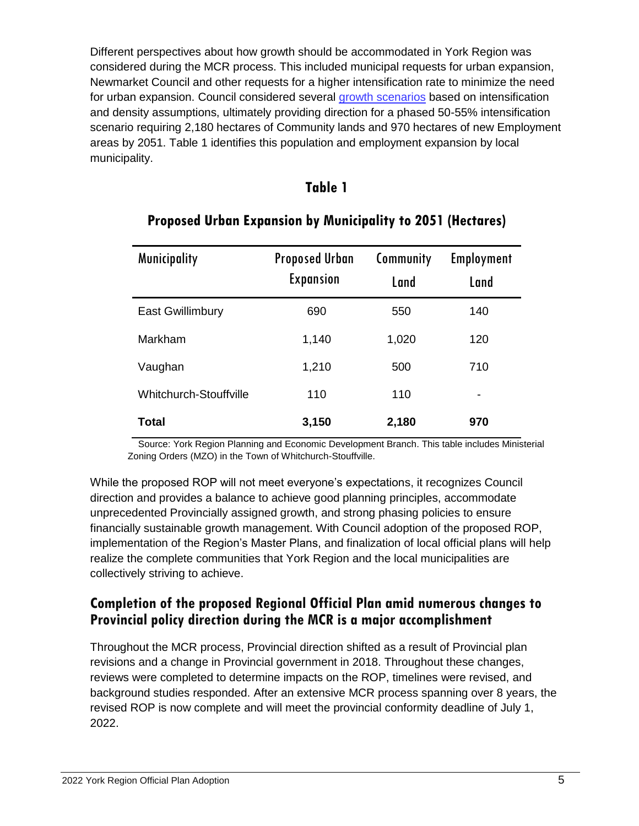Different perspectives about how growth should be accommodated in York Region was considered during the MCR process. This included municipal requests for urban expansion, Newmarket Council and other requests for a higher intensification rate to minimize the need for urban expansion. Council considered several [growth scenarios](https://yorkpublishing.escribemeetings.com/Meeting.aspx?Id=f643d823-720a-41d6-a4bf-a957fa7aa724&Agenda=Merged&lang=English&Item=17&Tab=attachments) based on intensification and density assumptions, ultimately providing direction for a phased 50-55% intensification scenario requiring 2,180 hectares of Community lands and 970 hectares of new Employment areas by 2051. Table 1 identifies this population and employment expansion by local municipality.

#### **Table 1**

| <b>Municipality</b>     | <b>Proposed Urban</b> | Community | <b>Employment</b>        |
|-------------------------|-----------------------|-----------|--------------------------|
|                         | <b>Expansion</b>      | Land      | Land                     |
| <b>East Gwillimbury</b> | 690                   | 550       | 140                      |
| Markham                 | 1,140                 | 1,020     | 120                      |
| Vaughan                 | 1,210                 | 500       | 710                      |
| Whitchurch-Stouffville  | 110                   | 110       | $\overline{\phantom{0}}$ |
| Total                   | 3,150                 | 2,180     | 970                      |

## **Proposed Urban Expansion by Municipality to 2051 (Hectares)**

 Source: York Region Planning and Economic Development Branch. This table includes Ministerial Zoning Orders (MZO) in the Town of Whitchurch-Stouffville.

While the proposed ROP will not meet everyone's expectations, it recognizes Council direction and provides a balance to achieve good planning principles, accommodate unprecedented Provincially assigned growth, and strong phasing policies to ensure financially sustainable growth management. With Council adoption of the proposed ROP, implementation of the Region's Master Plans, and finalization of local official plans will help realize the complete communities that York Region and the local municipalities are collectively striving to achieve.

### **Completion of the proposed Regional Official Plan amid numerous changes to Provincial policy direction during the MCR is a major accomplishment**

Throughout the MCR process, Provincial direction shifted as a result of Provincial plan revisions and a change in Provincial government in 2018. Throughout these changes, reviews were completed to determine impacts on the ROP, timelines were revised, and background studies responded. After an extensive MCR process spanning over 8 years, the revised ROP is now complete and will meet the provincial conformity deadline of July 1, 2022.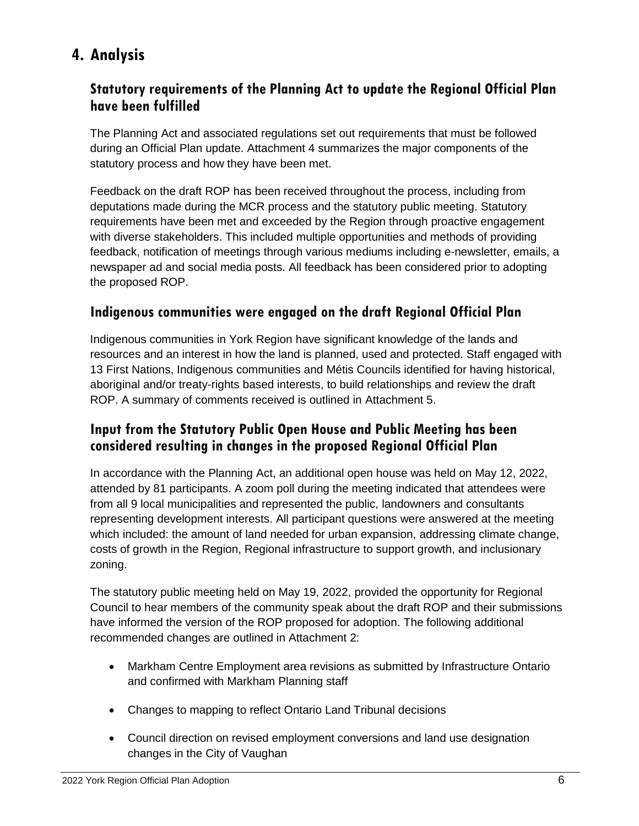# **4. Analysis**

## **Statutory requirements of the Planning Act to update the Regional Official Plan have been fulfilled**

The Planning Act and associated regulations set out requirements that must be followed during an Official Plan update. Attachment 4 summarizes the major components of the statutory process and how they have been met.

Feedback on the draft ROP has been received throughout the process, including from deputations made during the MCR process and the statutory public meeting. Statutory requirements have been met and exceeded by the Region through proactive engagement with diverse stakeholders. This included multiple opportunities and methods of providing feedback, notification of meetings through various mediums including e-newsletter, emails, a newspaper ad and social media posts. All feedback has been considered prior to adopting the proposed ROP.

### **Indigenous communities were engaged on the draft Regional Official Plan**

Indigenous communities in York Region have significant knowledge of the lands and resources and an interest in how the land is planned, used and protected. Staff engaged with 13 First Nations, Indigenous communities and Métis Councils identified for having historical, aboriginal and/or treaty-rights based interests, to build relationships and review the draft ROP. A summary of comments received is outlined in Attachment 5.

## **Input from the Statutory Public Open House and Public Meeting has been considered resulting in changes in the proposed Regional Official Plan**

In accordance with the Planning Act, an additional open house was held on May 12, 2022, attended by 81 participants. A zoom poll during the meeting indicated that attendees were from all 9 local municipalities and represented the public, landowners and consultants representing development interests. All participant questions were answered at the meeting which included: the amount of land needed for urban expansion, addressing climate change, costs of growth in the Region, Regional infrastructure to support growth, and inclusionary zoning.

The statutory public meeting held on May 19, 2022, provided the opportunity for Regional Council to hear members of the community speak about the draft ROP and their submissions have informed the version of the ROP proposed for adoption. The following additional recommended changes are outlined in Attachment 2:

- Markham Centre Employment area revisions as submitted by Infrastructure Ontario and confirmed with Markham Planning staff
- Changes to mapping to reflect Ontario Land Tribunal decisions
- Council direction on revised employment conversions and land use designation changes in the City of Vaughan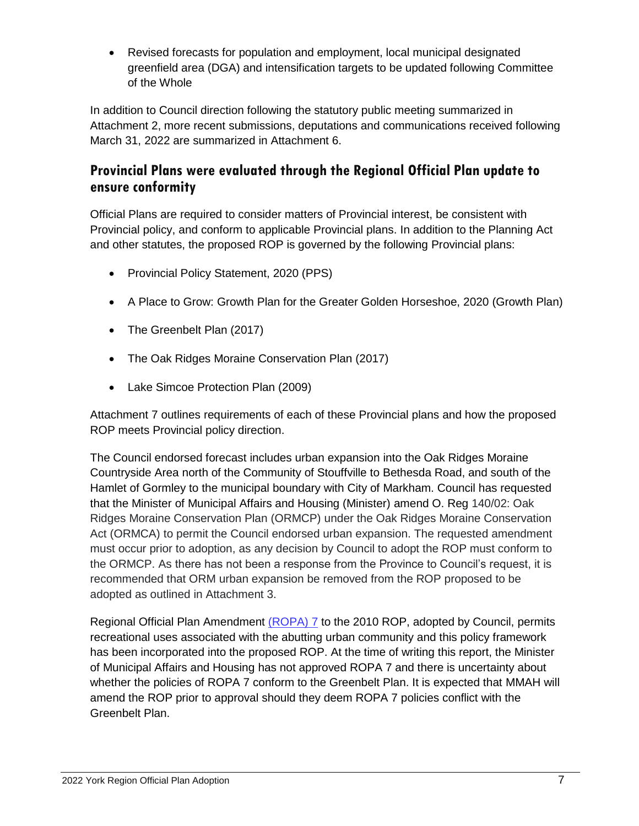Revised forecasts for population and employment, local municipal designated greenfield area (DGA) and intensification targets to be updated following Committee of the Whole

In addition to Council direction following the statutory public meeting summarized in Attachment 2, more recent submissions, deputations and communications received following March 31, 2022 are summarized in Attachment 6.

## **Provincial Plans were evaluated through the Regional Official Plan update to ensure conformity**

Official Plans are required to consider matters of Provincial interest, be consistent with Provincial policy, and conform to applicable Provincial plans. In addition to the Planning Act and other statutes, the proposed ROP is governed by the following Provincial plans:

- Provincial Policy Statement, 2020 (PPS)
- A Place to Grow: Growth Plan for the Greater Golden Horseshoe, 2020 (Growth Plan)
- The Greenbelt Plan (2017)
- The Oak Ridges Moraine Conservation Plan (2017)
- Lake Simcoe Protection Plan (2009)

Attachment 7 outlines requirements of each of these Provincial plans and how the proposed ROP meets Provincial policy direction.

The Council endorsed forecast includes urban expansion into the Oak Ridges Moraine Countryside Area north of the Community of Stouffville to Bethesda Road, and south of the Hamlet of Gormley to the municipal boundary with City of Markham. Council has requested that the Minister of Municipal Affairs and Housing (Minister) amend O. Reg 140/02: Oak Ridges Moraine Conservation Plan (ORMCP) under the Oak Ridges Moraine Conservation Act (ORMCA) to permit the Council endorsed urban expansion. The requested amendment must occur prior to adoption, as any decision by Council to adopt the ROP must conform to the ORMCP. As there has not been a response from the Province to Council's request, it is recommended that ORM urban expansion be removed from the ROP proposed to be adopted as outlined in Attachment 3.

Regional Official Plan Amendment [\(ROPA\)](https://yorkpublishing.escribemeetings.com/Meeting.aspx?Id=ce80af79-c97f-4f6f-ae5e-788eeea304de&Agenda=PostMinutes&lang=English&Item=58&Tab=attachments) 7 to the 2010 ROP, adopted by Council, permits recreational uses associated with the abutting urban community and this policy framework has been incorporated into the proposed ROP. At the time of writing this report, the Minister of Municipal Affairs and Housing has not approved ROPA 7 and there is uncertainty about whether the policies of ROPA 7 conform to the Greenbelt Plan. It is expected that MMAH will amend the ROP prior to approval should they deem ROPA 7 policies conflict with the Greenbelt Plan.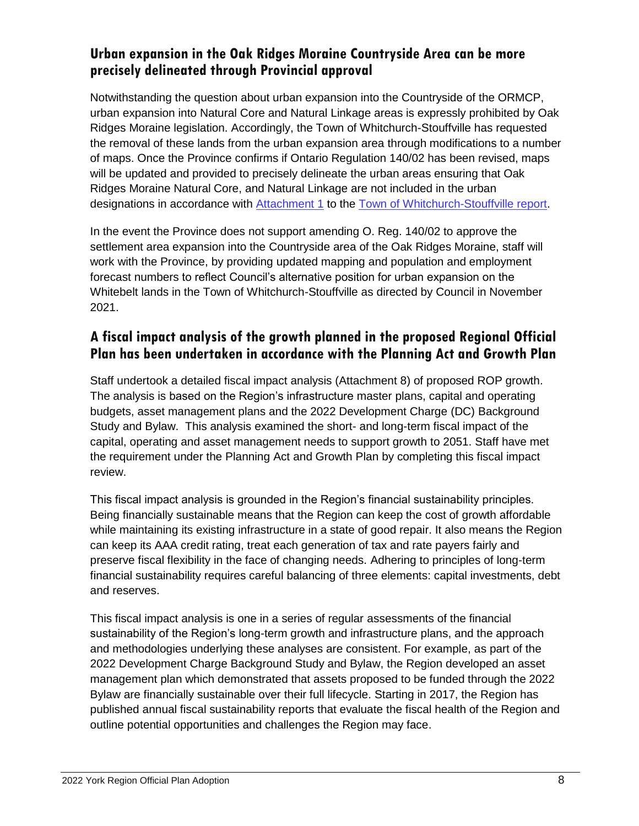### **Urban expansion in the Oak Ridges Moraine Countryside Area can be more precisely delineated through Provincial approval**

Notwithstanding the question about urban expansion into the Countryside of the ORMCP, urban expansion into Natural Core and Natural Linkage areas is expressly prohibited by Oak Ridges Moraine legislation. Accordingly, the Town of Whitchurch-Stouffville has requested the removal of these lands from the urban expansion area through modifications to a number of maps. Once the Province confirms if Ontario Regulation 140/02 has been revised, maps will be updated and provided to precisely delineate the urban areas ensuring that Oak Ridges Moraine Natural Core, and Natural Linkage are not included in the urban designations in accordance with [Attachment 1](https://whitchurch.civicweb.net/FileStorage/078F8E672188494E83A58CE7A807A382-DS-010-22%20Attachment%201.pdf) to the [Town of Whitchurch-Stouffville report.](https://whitchurch.civicweb.net/filepro/documents/158360/?preview=160424)

In the event the Province does not support amending O. Reg. 140/02 to approve the settlement area expansion into the Countryside area of the Oak Ridges Moraine, staff will work with the Province, by providing updated mapping and population and employment forecast numbers to reflect Council's alternative position for urban expansion on the Whitebelt lands in the Town of Whitchurch-Stouffville as directed by Council in November 2021.

### **A fiscal impact analysis of the growth planned in the proposed Regional Official Plan has been undertaken in accordance with the Planning Act and Growth Plan**

Staff undertook a detailed fiscal impact analysis (Attachment 8) of proposed ROP growth. The analysis is based on the Region's infrastructure master plans, capital and operating budgets, asset management plans and the 2022 Development Charge (DC) Background Study and Bylaw. This analysis examined the short- and long-term fiscal impact of the capital, operating and asset management needs to support growth to 2051. Staff have met the requirement under the Planning Act and Growth Plan by completing this fiscal impact review.

This fiscal impact analysis is grounded in the Region's financial sustainability principles. Being financially sustainable means that the Region can keep the cost of growth affordable while maintaining its existing infrastructure in a state of good repair. It also means the Region can keep its AAA credit rating, treat each generation of tax and rate payers fairly and preserve fiscal flexibility in the face of changing needs. Adhering to principles of long-term financial sustainability requires careful balancing of three elements: capital investments, debt and reserves.

This fiscal impact analysis is one in a series of regular assessments of the financial sustainability of the Region's long-term growth and infrastructure plans, and the approach and methodologies underlying these analyses are consistent. For example, as part of the 2022 Development Charge Background Study and Bylaw, the Region developed an asset management plan which demonstrated that assets proposed to be funded through the 2022 Bylaw are financially sustainable over their full lifecycle. Starting in 2017, the Region has published annual fiscal sustainability reports that evaluate the fiscal health of the Region and outline potential opportunities and challenges the Region may face.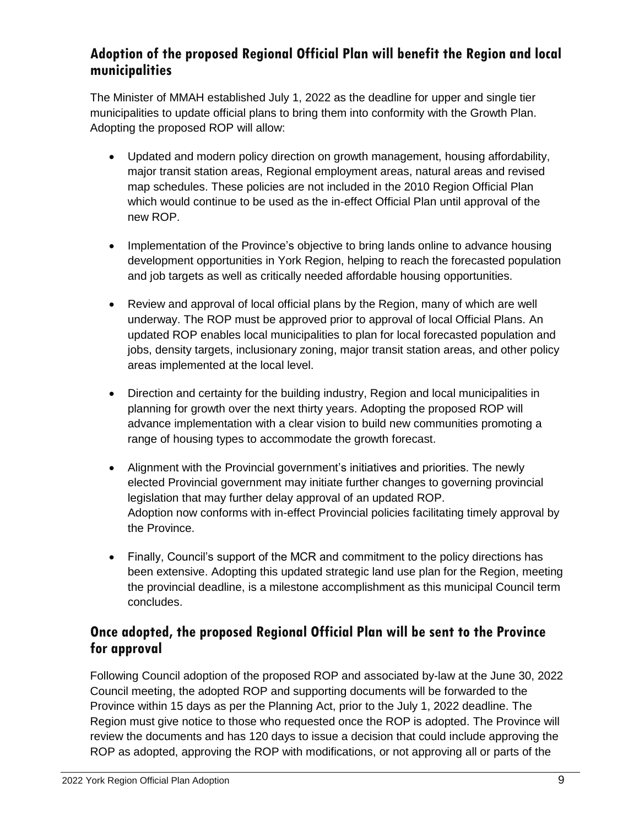## **Adoption of the proposed Regional Official Plan will benefit the Region and local municipalities**

The Minister of MMAH established July 1, 2022 as the deadline for upper and single tier municipalities to update official plans to bring them into conformity with the Growth Plan. Adopting the proposed ROP will allow:

- Updated and modern policy direction on growth management, housing affordability, major transit station areas, Regional employment areas, natural areas and revised map schedules. These policies are not included in the 2010 Region Official Plan which would continue to be used as the in-effect Official Plan until approval of the new ROP.
- Implementation of the Province's objective to bring lands online to advance housing development opportunities in York Region, helping to reach the forecasted population and job targets as well as critically needed affordable housing opportunities.
- Review and approval of local official plans by the Region, many of which are well underway. The ROP must be approved prior to approval of local Official Plans. An updated ROP enables local municipalities to plan for local forecasted population and jobs, density targets, inclusionary zoning, major transit station areas, and other policy areas implemented at the local level.
- Direction and certainty for the building industry, Region and local municipalities in planning for growth over the next thirty years. Adopting the proposed ROP will advance implementation with a clear vision to build new communities promoting a range of housing types to accommodate the growth forecast.
- Alignment with the Provincial government's initiatives and priorities. The newly elected Provincial government may initiate further changes to governing provincial legislation that may further delay approval of an updated ROP. Adoption now conforms with in-effect Provincial policies facilitating timely approval by the Province.
- Finally, Council's support of the MCR and commitment to the policy directions has been extensive. Adopting this updated strategic land use plan for the Region, meeting the provincial deadline, is a milestone accomplishment as this municipal Council term concludes.

## **Once adopted, the proposed Regional Official Plan will be sent to the Province for approval**

Following Council adoption of the proposed ROP and associated by-law at the June 30, 2022 Council meeting, the adopted ROP and supporting documents will be forwarded to the Province within 15 days as per the Planning Act, prior to the July 1, 2022 deadline. The Region must give notice to those who requested once the ROP is adopted. The Province will review the documents and has 120 days to issue a decision that could include approving the ROP as adopted, approving the ROP with modifications, or not approving all or parts of the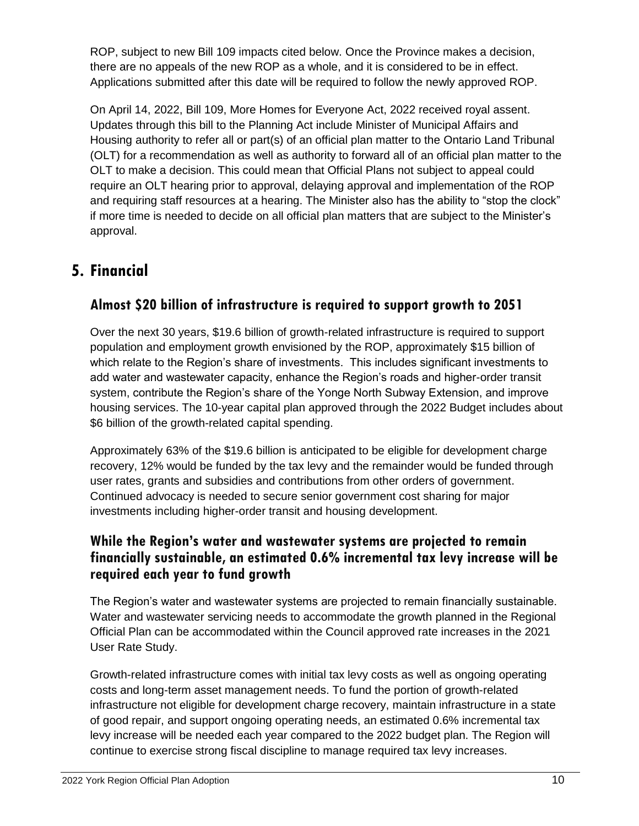ROP, subject to new Bill 109 impacts cited below. Once the Province makes a decision, there are no appeals of the new ROP as a whole, and it is considered to be in effect. Applications submitted after this date will be required to follow the newly approved ROP.

On April 14, 2022, Bill 109, More Homes for Everyone Act, 2022 received royal assent. Updates through this bill to the Planning Act include Minister of Municipal Affairs and Housing authority to refer all or part(s) of an official plan matter to the Ontario Land Tribunal (OLT) for a recommendation as well as authority to forward all of an official plan matter to the OLT to make a decision. This could mean that Official Plans not subject to appeal could require an OLT hearing prior to approval, delaying approval and implementation of the ROP and requiring staff resources at a hearing. The Minister also has the ability to "stop the clock" if more time is needed to decide on all official plan matters that are subject to the Minister's approval.

## **5. Financial**

## **Almost \$20 billion of infrastructure is required to support growth to 2051**

Over the next 30 years, \$19.6 billion of growth-related infrastructure is required to support population and employment growth envisioned by the ROP, approximately \$15 billion of which relate to the Region's share of investments. This includes significant investments to add water and wastewater capacity, enhance the Region's roads and higher-order transit system, contribute the Region's share of the Yonge North Subway Extension, and improve housing services. The 10-year capital plan approved through the 2022 Budget includes about \$6 billion of the growth-related capital spending.

Approximately 63% of the \$19.6 billion is anticipated to be eligible for development charge recovery, 12% would be funded by the tax levy and the remainder would be funded through user rates, grants and subsidies and contributions from other orders of government. Continued advocacy is needed to secure senior government cost sharing for major investments including higher-order transit and housing development.

#### **While the Region's water and wastewater systems are projected to remain financially sustainable, an estimated 0.6% incremental tax levy increase will be required each year to fund growth**

The Region's water and wastewater systems are projected to remain financially sustainable. Water and wastewater servicing needs to accommodate the growth planned in the Regional Official Plan can be accommodated within the Council approved rate increases in the 2021 User Rate Study.

Growth-related infrastructure comes with initial tax levy costs as well as ongoing operating costs and long-term asset management needs. To fund the portion of growth-related infrastructure not eligible for development charge recovery, maintain infrastructure in a state of good repair, and support ongoing operating needs, an estimated 0.6% incremental tax levy increase will be needed each year compared to the 2022 budget plan. The Region will continue to exercise strong fiscal discipline to manage required tax levy increases.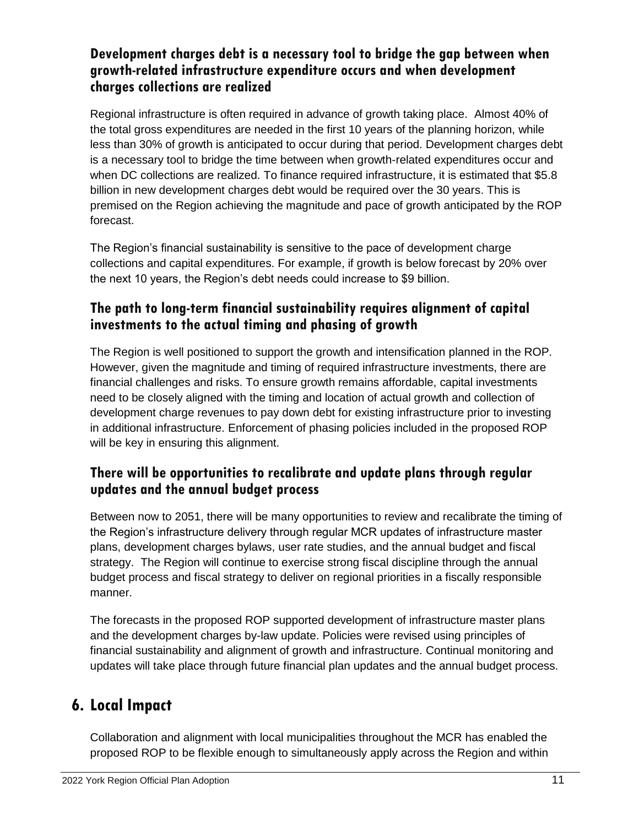### **Development charges debt is a necessary tool to bridge the gap between when growth-related infrastructure expenditure occurs and when development charges collections are realized**

Regional infrastructure is often required in advance of growth taking place. Almost 40% of the total gross expenditures are needed in the first 10 years of the planning horizon, while less than 30% of growth is anticipated to occur during that period. Development charges debt is a necessary tool to bridge the time between when growth-related expenditures occur and when DC collections are realized. To finance required infrastructure, it is estimated that \$5.8 billion in new development charges debt would be required over the 30 years. This is premised on the Region achieving the magnitude and pace of growth anticipated by the ROP forecast.

The Region's financial sustainability is sensitive to the pace of development charge collections and capital expenditures. For example, if growth is below forecast by 20% over the next 10 years, the Region's debt needs could increase to \$9 billion.

## **The path to long-term financial sustainability requires alignment of capital investments to the actual timing and phasing of growth**

The Region is well positioned to support the growth and intensification planned in the ROP. However, given the magnitude and timing of required infrastructure investments, there are financial challenges and risks. To ensure growth remains affordable, capital investments need to be closely aligned with the timing and location of actual growth and collection of development charge revenues to pay down debt for existing infrastructure prior to investing in additional infrastructure. Enforcement of phasing policies included in the proposed ROP will be key in ensuring this alignment.

## **There will be opportunities to recalibrate and update plans through regular updates and the annual budget process**

Between now to 2051, there will be many opportunities to review and recalibrate the timing of the Region's infrastructure delivery through regular MCR updates of infrastructure master plans, development charges bylaws, user rate studies, and the annual budget and fiscal strategy. The Region will continue to exercise strong fiscal discipline through the annual budget process and fiscal strategy to deliver on regional priorities in a fiscally responsible manner.

The forecasts in the proposed ROP supported development of infrastructure master plans and the development charges by-law update. Policies were revised using principles of financial sustainability and alignment of growth and infrastructure. Continual monitoring and updates will take place through future financial plan updates and the annual budget process.

## **6. Local Impact**

Collaboration and alignment with local municipalities throughout the MCR has enabled the proposed ROP to be flexible enough to simultaneously apply across the Region and within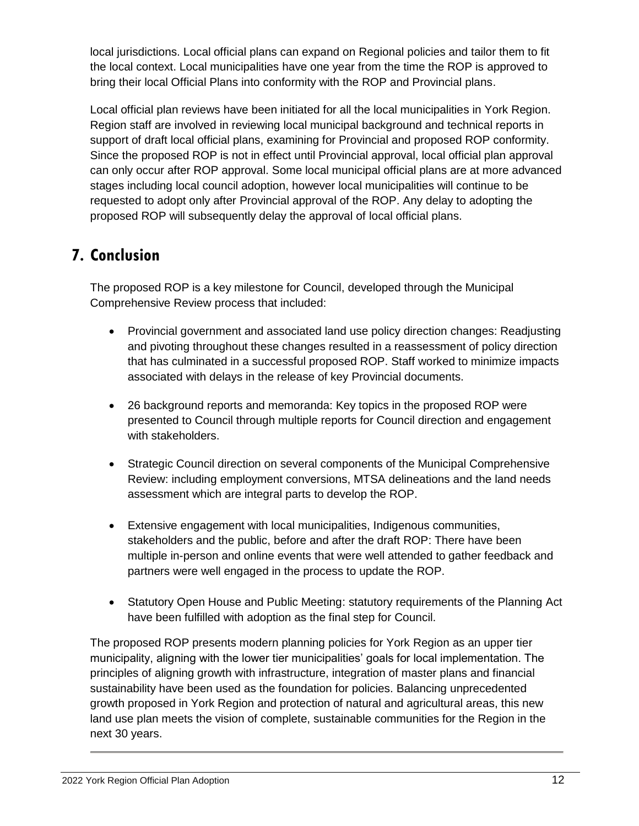local jurisdictions. Local official plans can expand on Regional policies and tailor them to fit the local context. Local municipalities have one year from the time the ROP is approved to bring their local Official Plans into conformity with the ROP and Provincial plans.

Local official plan reviews have been initiated for all the local municipalities in York Region. Region staff are involved in reviewing local municipal background and technical reports in support of draft local official plans, examining for Provincial and proposed ROP conformity. Since the proposed ROP is not in effect until Provincial approval, local official plan approval can only occur after ROP approval. Some local municipal official plans are at more advanced stages including local council adoption, however local municipalities will continue to be requested to adopt only after Provincial approval of the ROP. Any delay to adopting the proposed ROP will subsequently delay the approval of local official plans.

## **7. Conclusion**

The proposed ROP is a key milestone for Council, developed through the Municipal Comprehensive Review process that included:

- Provincial government and associated land use policy direction changes: Readjusting and pivoting throughout these changes resulted in a reassessment of policy direction that has culminated in a successful proposed ROP. Staff worked to minimize impacts associated with delays in the release of key Provincial documents.
- 26 background reports and memoranda: Key topics in the proposed ROP were presented to Council through multiple reports for Council direction and engagement with stakeholders.
- Strategic Council direction on several components of the Municipal Comprehensive Review: including employment conversions, MTSA delineations and the land needs assessment which are integral parts to develop the ROP.
- Extensive engagement with local municipalities, Indigenous communities, stakeholders and the public, before and after the draft ROP: There have been multiple in-person and online events that were well attended to gather feedback and partners were well engaged in the process to update the ROP.
- Statutory Open House and Public Meeting: statutory requirements of the Planning Act have been fulfilled with adoption as the final step for Council.

The proposed ROP presents modern planning policies for York Region as an upper tier municipality, aligning with the lower tier municipalities' goals for local implementation. The principles of aligning growth with infrastructure, integration of master plans and financial sustainability have been used as the foundation for policies. Balancing unprecedented growth proposed in York Region and protection of natural and agricultural areas, this new land use plan meets the vision of complete, sustainable communities for the Region in the next 30 years.